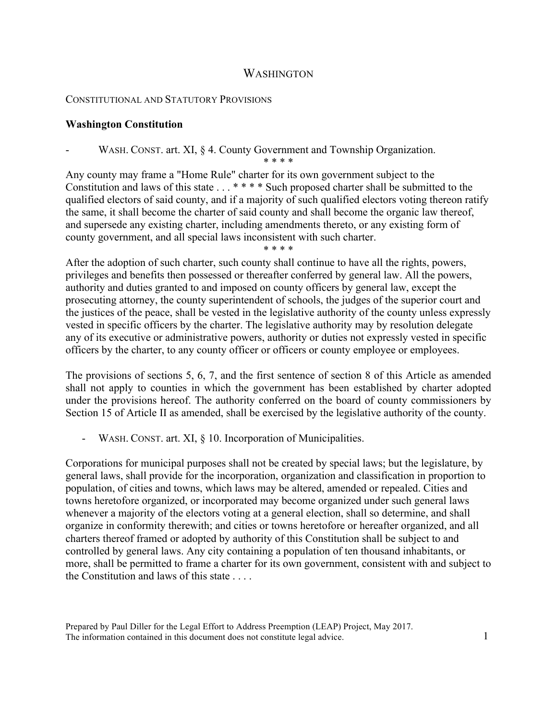## WASHINGTON

## CONSTITUTIONAL AND STATUTORY PROVISIONS

## **Washington Constitution**

WASH. CONST. art. XI, § 4. County Government and Township Organization.

\* \* \* \*

Any county may frame a "Home Rule" charter for its own government subject to the Constitution and laws of this state . . . \*\*\*\* Such proposed charter shall be submitted to the qualified electors of said county, and if a majority of such qualified electors voting thereon ratify the same, it shall become the charter of said county and shall become the organic law thereof, and supersede any existing charter, including amendments thereto, or any existing form of county government, and all special laws inconsistent with such charter.

\* \* \* \*

After the adoption of such charter, such county shall continue to have all the rights, powers, privileges and benefits then possessed or thereafter conferred by general law. All the powers, authority and duties granted to and imposed on county officers by general law, except the prosecuting attorney, the county superintendent of schools, the judges of the superior court and the justices of the peace, shall be vested in the legislative authority of the county unless expressly vested in specific officers by the charter. The legislative authority may by resolution delegate any of its executive or administrative powers, authority or duties not expressly vested in specific officers by the charter, to any county officer or officers or county employee or employees.

The provisions of sections 5, 6, 7, and the first sentence of section 8 of this Article as amended shall not apply to counties in which the government has been established by charter adopted under the provisions hereof. The authority conferred on the board of county commissioners by Section 15 of Article II as amended, shall be exercised by the legislative authority of the county.

- WASH. CONST. art. XI, § 10. Incorporation of Municipalities.

Corporations for municipal purposes shall not be created by special laws; but the legislature, by general laws, shall provide for the incorporation, organization and classification in proportion to population, of cities and towns, which laws may be altered, amended or repealed. Cities and towns heretofore organized, or incorporated may become organized under such general laws whenever a majority of the electors voting at a general election, shall so determine, and shall organize in conformity therewith; and cities or towns heretofore or hereafter organized, and all charters thereof framed or adopted by authority of this Constitution shall be subject to and controlled by general laws. Any city containing a population of ten thousand inhabitants, or more, shall be permitted to frame a charter for its own government, consistent with and subject to the Constitution and laws of this state . . . .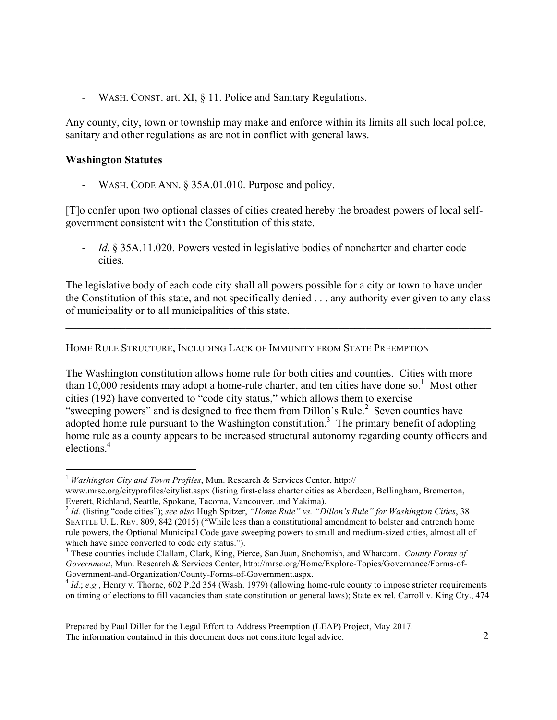- WASH. CONST. art. XI, § 11. Police and Sanitary Regulations.

Any county, city, town or township may make and enforce within its limits all such local police, sanitary and other regulations as are not in conflict with general laws.

## **Washington Statutes**

- WASH. CODE ANN. § 35A.01.010. Purpose and policy.

[T]o confer upon two optional classes of cities created hereby the broadest powers of local selfgovernment consistent with the Constitution of this state.

*Id.* § 35A.11.020. Powers vested in legislative bodies of noncharter and charter code cities.

The legislative body of each code city shall all powers possible for a city or town to have under the Constitution of this state, and not specifically denied . . . any authority ever given to any class of municipality or to all municipalities of this state.

 $\mathcal{L}_\mathcal{L} = \{ \mathcal{L}_\mathcal{L} = \{ \mathcal{L}_\mathcal{L} = \{ \mathcal{L}_\mathcal{L} = \{ \mathcal{L}_\mathcal{L} = \{ \mathcal{L}_\mathcal{L} = \{ \mathcal{L}_\mathcal{L} = \{ \mathcal{L}_\mathcal{L} = \{ \mathcal{L}_\mathcal{L} = \{ \mathcal{L}_\mathcal{L} = \{ \mathcal{L}_\mathcal{L} = \{ \mathcal{L}_\mathcal{L} = \{ \mathcal{L}_\mathcal{L} = \{ \mathcal{L}_\mathcal{L} = \{ \mathcal{L}_\mathcal{$ 

HOME RULE STRUCTURE, INCLUDING LACK OF IMMUNITY FROM STATE PREEMPTION

The Washington constitution allows home rule for both cities and counties. Cities with more than 10,000 residents may adopt a home-rule charter, and ten cities have done so.<sup>1</sup> Most other cities (192) have converted to "code city status," which allows them to exercise "sweeping powers" and is designed to free them from Dillon's Rule.<sup>2</sup> Seven counties have adopted home rule pursuant to the Washington constitution.<sup>3</sup> The primary benefit of adopting home rule as a county appears to be increased structural autonomy regarding county officers and elections. 4

<sup>1</sup> *Washington City and Town Profiles*, Mun. Research & Services Center, http://

www.mrsc.org/cityprofiles/citylist.aspx (listing first-class charter cities as Aberdeen, Bellingham, Bremerton,

Everett, Richland, Seattle, Spokane, Tacoma, Vancouver, and Yakima). <sup>2</sup> *Id.* (listing "code cities"); *see also* Hugh Spitzer, *"Home Rule" vs. "Dillon's Rule" for Washington Cities*, 38 SEATTLE U. L. REV. 809, 842 (2015) ("While less than a constitutional amendment to bolster and entrench home rule powers, the Optional Municipal Code gave sweeping powers to small and medium-sized cities, almost all of which have since converted to code city status.").

<sup>3</sup> These counties include Clallam, Clark, King, Pierce, San Juan, Snohomish, and Whatcom. *County Forms of Government*, Mun. Research & Services Center, http://mrsc.org/Home/Explore-Topics/Governance/Forms-of-Government-and-Organization/County-Forms-of-Government.aspx.<br><sup>4</sup> *Id.*; *e.g.*, Henry v. Thorne, 602 P.2d 354 (Wash. 1979) (allowing home-rule county to impose stricter requirements

on timing of elections to fill vacancies than state constitution or general laws); State ex rel. Carroll v. King Cty., 474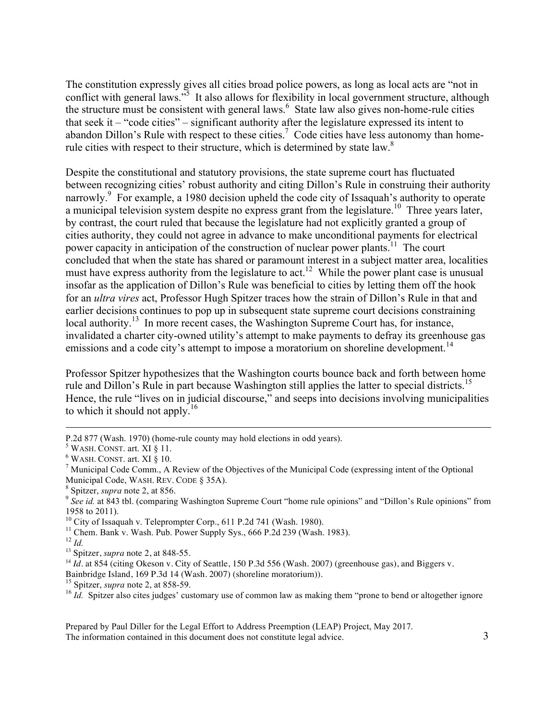The constitution expressly gives all cities broad police powers, as long as local acts are "not in conflict with general laws.<sup>35</sup> It also allows for flexibility in local government structure, although the structure must be consistent with general laws. $6$  State law also gives non-home-rule cities that seek it – "code cities" – significant authority after the legislature expressed its intent to abandon Dillon's Rule with respect to these cities.<sup>7</sup> Code cities have less autonomy than homerule cities with respect to their structure, which is determined by state law.<sup>8</sup>

Despite the constitutional and statutory provisions, the state supreme court has fluctuated between recognizing cities' robust authority and citing Dillon's Rule in construing their authority narrowly.<sup>9</sup> For example, a 1980 decision upheld the code city of Issaquah's authority to operate a municipal television system despite no express grant from the legislature.<sup>10</sup> Three years later, by contrast, the court ruled that because the legislature had not explicitly granted a group of cities authority, they could not agree in advance to make unconditional payments for electrical power capacity in anticipation of the construction of nuclear power plants.<sup>11</sup> The court concluded that when the state has shared or paramount interest in a subject matter area, localities must have express authority from the legislature to act.<sup>12</sup> While the power plant case is unusual insofar as the application of Dillon's Rule was beneficial to cities by letting them off the hook for an *ultra vires* act, Professor Hugh Spitzer traces how the strain of Dillon's Rule in that and earlier decisions continues to pop up in subsequent state supreme court decisions constraining local authority.<sup>13</sup> In more recent cases, the Washington Supreme Court has, for instance, invalidated a charter city-owned utility's attempt to make payments to defray its greenhouse gas emissions and a code city's attempt to impose a moratorium on shoreline development.<sup>14</sup>

Professor Spitzer hypothesizes that the Washington courts bounce back and forth between home rule and Dillon's Rule in part because Washington still applies the latter to special districts.<sup>15</sup> Hence, the rule "lives on in judicial discourse," and seeps into decisions involving municipalities to which it should not apply.<sup>16</sup>

 $\overline{a}$ 

13 Spitzer, *supra* note 2, at 848-55.

Prepared by Paul Diller for the Legal Effort to Address Preemption (LEAP) Project, May 2017. The information contained in this document does not constitute legal advice. 3

P.2d 877 (Wash. 1970) (home-rule county may hold elections in odd years).<br>
<sup>5</sup> WASH. CONST. art. XI § 11.<br>
<sup>6</sup> WASH. CONST. art. XI § 10.<br>
<sup>7</sup> Municipal Code Comm., A Review of the Objectives of the Municipal Code (expres Municipal Code, WASH. REV. CODE § 35A).<br><sup>8</sup> Spitzer, *supra* note 2, at 856.

<sup>&</sup>lt;sup>9</sup> See *id.* at 843 tbl. (comparing Washington Supreme Court "home rule opinions" and "Dillon's Rule opinions" from 1958 to 2011).<br> $^{10}$  City of Issaquah v. Teleprompter Corp., 611 P.2d 741 (Wash. 1980).

 $11$  Chem. Bank v. Wash. Pub. Power Supply Sys., 666 P.2d 239 (Wash. 1983).

 $12$  *Id.* 

<sup>&</sup>lt;sup>14</sup> *Id.* at 854 (citing Okeson v. City of Seattle, 150 P.3d 556 (Wash. 2007) (greenhouse gas), and Biggers v.

Bainbridge Island, 169 P.3d 14 (Wash. 2007) (shoreline moratorium)).<br><sup>15</sup> Spitzer, *supra* note 2, at 858-59.<br><sup>16</sup> *Id.* Spitzer also cites judges' customary use of common law as making them "prone to bend or altogether i